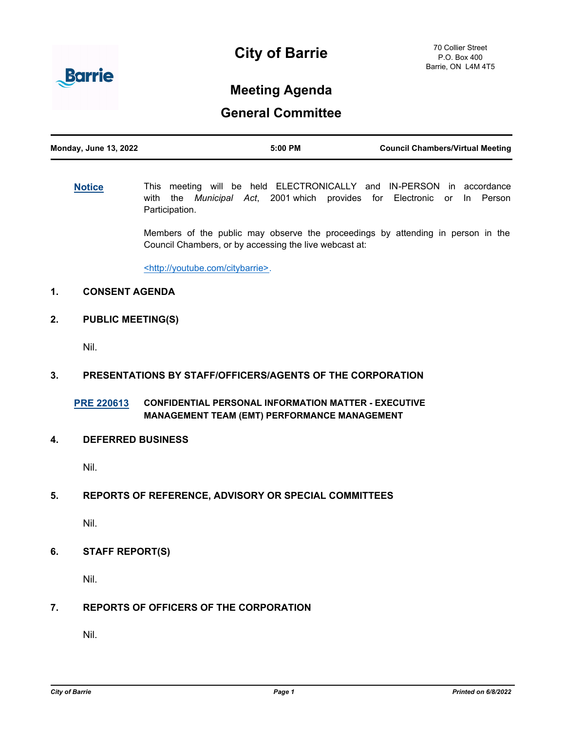



# **Meeting Agenda**

# **General Committee**

| <b>Monday, June 13, 2022</b> | $5:00$ PM | <b>Council Chambers/Virtual Meeting</b> |
|------------------------------|-----------|-----------------------------------------|
|                              |           |                                         |

**[Notice](http://barrie.ca.legistar.com/gateway.aspx?m=l&id=/matter.aspx?key=46586)** This meeting will be held ELECTRONICALLY and IN-PERSON in accordance with the *Municipal Act*, 2001 which provides for Electronic or In Person Participation.

> Members of the public may observe the proceedings by attending in person in the Council Chambers, or by accessing the live webcast at:

<http://youtube.com/citybarrie>.

# **1. CONSENT AGENDA**

**2. PUBLIC MEETING(S)**

Nil.

### **3. PRESENTATIONS BY STAFF/OFFICERS/AGENTS OF THE CORPORATION**

**[PRE 220613](http://barrie.ca.legistar.com/gateway.aspx?m=l&id=/matter.aspx?key=50866) CONFIDENTIAL PERSONAL INFORMATION MATTER - EXECUTIVE MANAGEMENT TEAM (EMT) PERFORMANCE MANAGEMENT**

#### **4. DEFERRED BUSINESS**

Nil.

### **5. REPORTS OF REFERENCE, ADVISORY OR SPECIAL COMMITTEES**

Nil.

**6. STAFF REPORT(S)**

Nil.

# **7. REPORTS OF OFFICERS OF THE CORPORATION**

Nil.